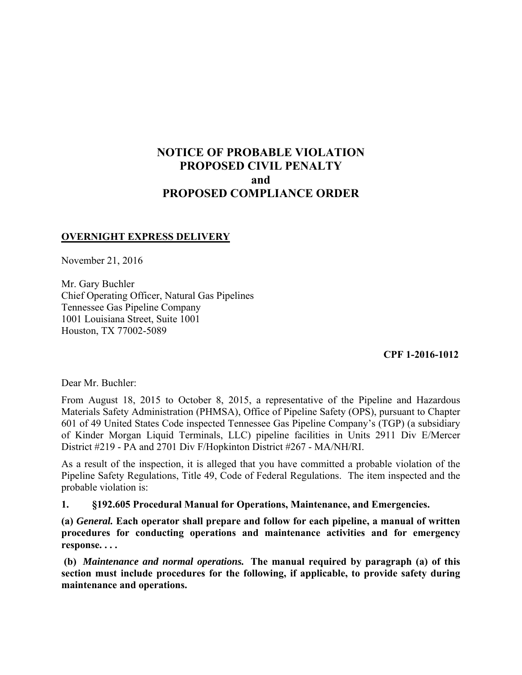# **NOTICE OF PROBABLE VIOLATION PROPOSED CIVIL PENALTY and PROPOSED COMPLIANCE ORDER**

## **OVERNIGHT EXPRESS DELIVERY**

November 21, 2016

Mr. Gary Buchler Chief Operating Officer, Natural Gas Pipelines Tennessee Gas Pipeline Company 1001 Louisiana Street, Suite 1001 Houston, TX 77002-5089

 **CPF 1-2016-1012** 

Dear Mr. Buchler:

From August 18, 2015 to October 8, 2015, a representative of the Pipeline and Hazardous Materials Safety Administration (PHMSA), Office of Pipeline Safety (OPS), pursuant to Chapter 601 of 49 United States Code inspected Tennessee Gas Pipeline Company's (TGP) (a subsidiary of Kinder Morgan Liquid Terminals, LLC) pipeline facilities in Units 2911 Div E/Mercer District #219 - PA and 2701 Div F/Hopkinton District #267 - MA/NH/RI.

As a result of the inspection, it is alleged that you have committed a probable violation of the Pipeline Safety Regulations, Title 49, Code of Federal Regulations. The item inspected and the probable violation is:

**1. §192.605 Procedural Manual for Operations, Maintenance, and Emergencies.** 

**(a)** *General.* **Each operator shall prepare and follow for each pipeline, a manual of written procedures for conducting operations and maintenance activities and for emergency response. . . .** 

 **(b)** *Maintenance and normal operations.* **The manual required by paragraph (a) of this section must include procedures for the following, if applicable, to provide safety during maintenance and operations.**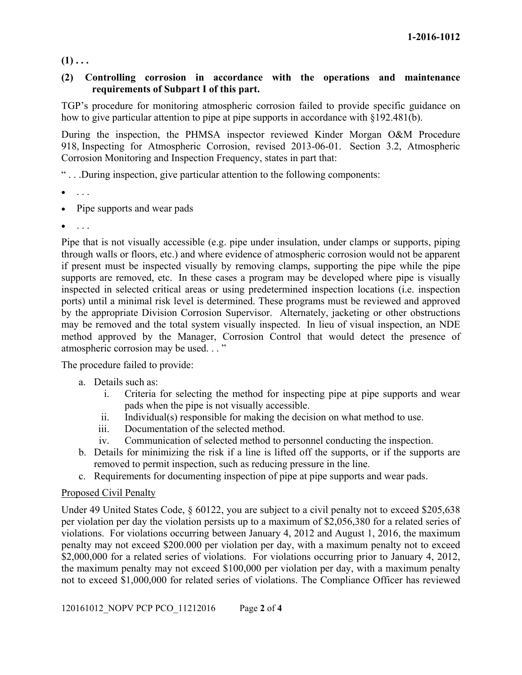$(1)$ ...

## **(2) Controlling corrosion in accordance with the operations and maintenance requirements of Subpart I of this part.**

TGP's procedure for monitoring atmospheric corrosion failed to provide specific guidance on how to give particular attention to pipe at pipe supports in accordance with §192.481(b).

During the inspection, the PHMSA inspector reviewed Kinder Morgan O&M Procedure 918, Inspecting for Atmospheric Corrosion, revised 2013-06-01. Section 3.2, Atmospheric Corrosion Monitoring and Inspection Frequency, states in part that:

" . . .During inspection, give particular attention to the following components:

- $\bullet$  . . . .
- Pipe supports and wear pads
- . . .

Pipe that is not visually accessible (e.g. pipe under insulation, under clamps or supports, piping through walls or floors, etc.) and where evidence of atmospheric corrosion would not be apparent if present must be inspected visually by removing clamps, supporting the pipe while the pipe supports are removed, etc. In these cases a program may be developed where pipe is visually inspected in selected critical areas or using predetermined inspection locations (i.e. inspection ports) until a minimal risk level is determined. These programs must be reviewed and approved by the appropriate Division Corrosion Supervisor. Alternately, jacketing or other obstructions may be removed and the total system visually inspected. In lieu of visual inspection, an NDE method approved by the Manager, Corrosion Control that would detect the presence of atmospheric corrosion may be used. . . "

The procedure failed to provide:

- a. Details such as:
	- i. Criteria for selecting the method for inspecting pipe at pipe supports and wear pads when the pipe is not visually accessible.
	- ii. Individual(s) responsible for making the decision on what method to use.
	- iii. Documentation of the selected method.
	- iv. Communication of selected method to personnel conducting the inspection.
- b. Details for minimizing the risk if a line is lifted off the supports, or if the supports are removed to permit inspection, such as reducing pressure in the line.
- c. Requirements for documenting inspection of pipe at pipe supports and wear pads.

## Proposed Civil Penalty

Under 49 United States Code, § 60122, you are subject to a civil penalty not to exceed \$205,638 per violation per day the violation persists up to a maximum of \$2,056,380 for a related series of violations. For violations occurring between January 4, 2012 and August 1, 2016, the maximum penalty may not exceed \$200.000 per violation per day, with a maximum penalty not to exceed \$2,000,000 for a related series of violations. For violations occurring prior to January 4, 2012, the maximum penalty may not exceed \$100,000 per violation per day, with a maximum penalty not to exceed \$1,000,000 for related series of violations. The Compliance Officer has reviewed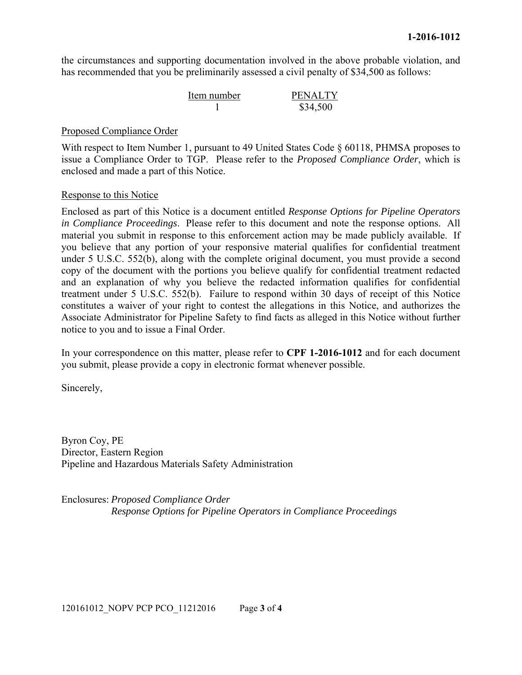the circumstances and supporting documentation involved in the above probable violation, and has recommended that you be preliminarily assessed a civil penalty of \$34,500 as follows:

| Item number | <b>PENALTY</b> |
|-------------|----------------|
|             | \$34,500       |

#### Proposed Compliance Order

With respect to Item Number 1, pursuant to 49 United States Code  $\S$  60118, PHMSA proposes to issue a Compliance Order to TGP. Please refer to the *Proposed Compliance Order*, which is enclosed and made a part of this Notice.

### Response to this Notice

Enclosed as part of this Notice is a document entitled *Response Options for Pipeline Operators in Compliance Proceedings*. Please refer to this document and note the response options. All material you submit in response to this enforcement action may be made publicly available. If you believe that any portion of your responsive material qualifies for confidential treatment under 5 U.S.C. 552(b), along with the complete original document, you must provide a second copy of the document with the portions you believe qualify for confidential treatment redacted and an explanation of why you believe the redacted information qualifies for confidential treatment under 5 U.S.C. 552(b). Failure to respond within 30 days of receipt of this Notice constitutes a waiver of your right to contest the allegations in this Notice, and authorizes the Associate Administrator for Pipeline Safety to find facts as alleged in this Notice without further notice to you and to issue a Final Order.

In your correspondence on this matter, please refer to **CPF 1-2016-1012** and for each document you submit, please provide a copy in electronic format whenever possible.

Sincerely,

Byron Coy, PE Director, Eastern Region Pipeline and Hazardous Materials Safety Administration

Enclosures: *Proposed Compliance Order Response Options for Pipeline Operators in Compliance Proceedings*